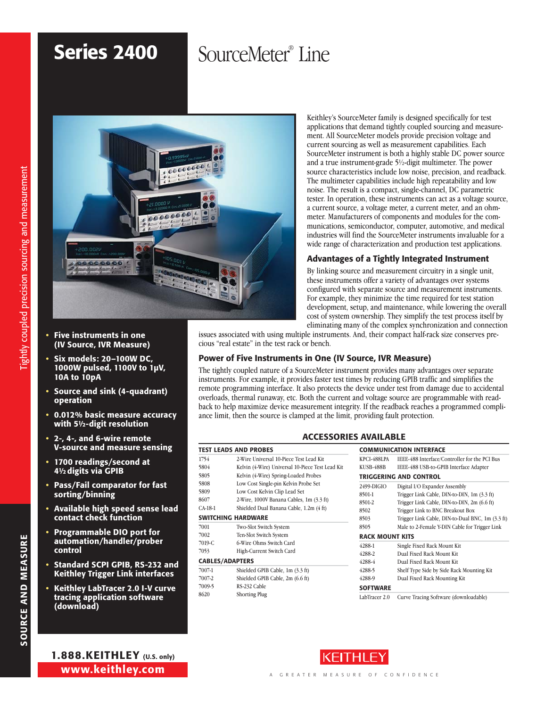# Series 2400

# SourceMeter® Line



- Five instruments in one (IV Source, IVR Measure)
- Six models: 20-100W DC, 1000W pulsed, 1100V to 1µV, 10A to 10pA
- Source and sink (4-quadrant) operation
- 0.012% basic measure accuracy with 5½-digit resolution
- 2-, 4-, and 6-wire remote V-source and measure sensing
- 1700 readings/second at 4<sup>1</sup>/<sub>2</sub> digits via GPIB
- Pass/Fail comparator for fast sorting/binning
- Available high speed sense lead contact check function
- Programmable DIO port for automation/handler/prober control
- Standard SCPI GPIB, RS-232 and Keithley Trigger Link interfaces
- Keithley LabTracer 2.0 I-V curve tracing application software (download)

Keithley's SourceMeter family is designed specifically for test applications that demand tightly coupled sourcing and measurement. All SourceMeter models provide precision voltage and current sourcing as well as measurement capabilities. Each SourceMeter instrument is both a highly stable DC power source and a true instrument-grade 5½-digit multimeter. The power source characteristics include low noise, precision, and readback. The multimeter capabilities include high repeatability and low noise. The result is a compact, single-channel, DC parametric tester. In operation, these instruments can act as a voltage source, a current source, a voltage meter, a current meter, and an ohmmeter. Manufacturers of components and modules for the communications, semiconductor, computer, automotive, and medical industries will find the SourceMeter instruments invaluable for a wide range of characterization and production test applications.

# Advantages of a Tightly Integrated Instrument

By linking source and measurement circuitry in a single unit, these instruments offer a variety of advantages over systems configured with separate source and measurement instruments. For example, they minimize the time required for test station development, setup, and maintenance, while lowering the overall cost of system ownership. They simplify the test process itself by eliminating many of the complex synchronization and connection

issues associated with using multiple instruments. And, their compact half-rack size conserves precious "real estate" in the test rack or bench.

# Power of Five Instruments in One (IV Source, IVR Measure)

The tightly coupled nature of a SourceMeter instrument provides many advantages over separate instruments. For example, it provides faster test times by reducing GPIB traffic and simplifies the remote programming interface. It also protects the device under test from damage due to accidental overloads, thermal runaway, etc. Both the current and voltage source are programmable with readback to help maximize device measurement integrity. If the readback reaches a programmed compliance limit, then the source is clamped at the limit, providing fault protection.

### ACCESSORIES AVAILABLE

|         | <b>TEST LEADS AND PROBES</b>                     | <b>COM</b>  |
|---------|--------------------------------------------------|-------------|
| 1754    | 2-Wire Universal 10-Piece Test Lead Kit          | KPCI-4      |
| 5804    | Kelvin (4-Wire) Universal 10-Piece Test Lead Kit | KUSB-       |
| 5805    | Kelvin (4-Wire) Spring-Loaded Probes             | <b>TRIG</b> |
| 5808    | Low Cost Single-pin Kelvin Probe Set             | 2499-I      |
| 5809    | Low Cost Kelvin Clip Lead Set                    | 8501-1      |
| 8607    | 2-Wire, 1000V Banana Cables, 1m (3.3 ft)         | 8501-2      |
| CA-18-1 | Shielded Dual Banana Cable, 1.2m (4 ft)          | 8502        |
|         | SWITCHING HARDWARE                               | 8503        |
| 7001    | Two-Slot Switch System                           | 8505        |
| 7002    | Ten-Slot Switch System                           | <b>RACK</b> |
| 7019-C  | 6-Wire Ohms Switch Card                          | 4288-1      |
| 7053    | High-Current Switch Card                         | 4288-2      |
|         | <b>CABLES/ADAPTERS</b>                           | 4288-4      |
| 7007-1  | Shielded GPIB Cable, 1m (3.3 ft)                 | 4288-       |
| 7007-2  | Shielded GPIB Cable, 2m (6.6 ft)                 | 4288-9      |
| 7009-5  | RS-232 Cable                                     | <b>SOFT</b> |
| 8620    | <b>Shorting Plug</b>                             | LobTer      |

|                        | <b>COMMUNICATION INTERFACE</b>                   |
|------------------------|--------------------------------------------------|
| KPCI-488LPA            | IEEE-488 Interface/Controller for the PCI Bus    |
| KUSB-488B              | IEEE-488 USB-to-GPIB Interface Adapter           |
|                        | TRIGGERING AND CONTROL                           |
| 2499-DIGIO             | Digital I/O Expander Assembly                    |
| 8501-1                 | Trigger Link Cable, DIN-to-DIN, 1m (3.3 ft)      |
| 8501-2                 | Trigger Link Cable, DIN-to-DIN, 2m (6.6 ft)      |
| 8502                   | Trigger Link to BNC Breakout Box                 |
| 8503                   | Trigger Link Cable, DIN-to-Dual BNC, 1m (3.3 ft) |
| 8505                   | Male to 2-Female Y-DIN Cable for Trigger Link    |
| <b>RACK MOUNT KITS</b> |                                                  |
| 4288-1                 | Single Fixed Rack Mount Kit                      |
| 4288-2                 | Dual Fixed Rack Mount Kit                        |
| 4288-4                 | Dual Fixed Rack Mount Kit                        |
| 4288-5                 | Shelf Type Side by Side Rack Mounting Kit        |
| 4288-9                 | Dual Fixed Rack Mounting Kit                     |
| <b>SOFTWARE</b>        |                                                  |
| LabTracer 2.0          | Curve Tracing Software (downloadable)            |



SOURCE AND MEASURE

SOURCE AND MEASURE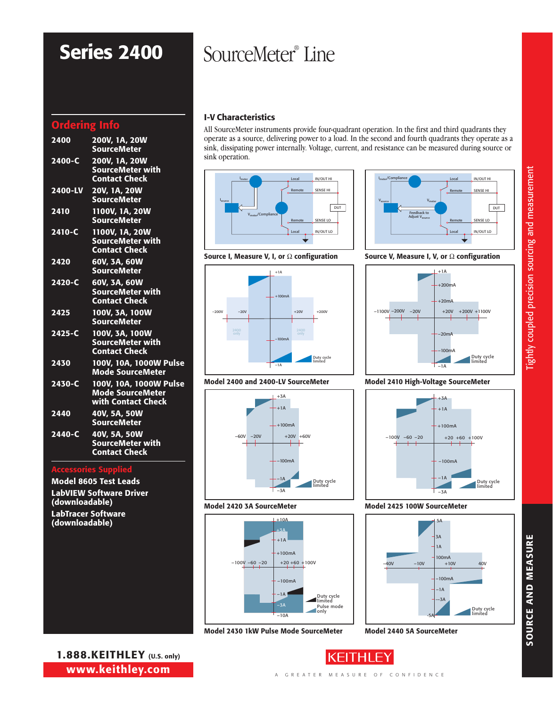# Ordering Info

| 2400       | 200V, 1A, 20W<br><b>SourceMeter</b>                                     |
|------------|-------------------------------------------------------------------------|
| 2400-C     | 200V, 1A, 20W<br>SourceMeter with<br><b>Contact Check</b>               |
| 2400-LV    | 20V, 1A, 20W<br><b>SourceMeter</b>                                      |
| 2410       | 1100V, 1A, 20W<br><b>SourceMeter</b>                                    |
| 2410-C     | 1100V, 1A, 20W<br>SourceMeter with<br><b>Contact Check</b>              |
| 2420       | 60V, 3A, 60W<br><b>SourceMeter</b>                                      |
| $2420 - C$ | 60V, 3A, 60W<br><b>SourceMeter with</b><br><b>Contact Check</b>         |
| 2425       | 100V, 3A, 100W<br><b>SourceMeter</b>                                    |
| $2425 - C$ | 100V, 3A, 100W<br><b>SourceMeter with</b><br><b>Contact Check</b>       |
| 2430       | 100V, 10A, 1000W Pulse<br><b>Mode SourceMeter</b>                       |
| 2430-C     | 100V, 10A, 1000W Pulse<br><b>Mode SourceMeter</b><br>with Contact Check |
| 2440       | 40V, 5A, 50W<br><b>SourceMeter</b>                                      |
| $2440 - C$ | 40V, 5A, 50W<br><b>SourceMeter with</b><br><b>Contact Check</b>         |
|            |                                                                         |

### Accessories Supplied

Model 8605 Test Leads LabVIEW Software Driver (downloadable) LabTracer Software (downloadable)

1.888.KEITHLEY (U.S. only) www.keithley.com

# Series 2400 SourceMeter® Line

# I-V Characteristics

All SourceMeter instruments provide four-quadrant operation. In the first and third quadrants they operate as a source, delivering power to a load. In the second and fourth quadrants they operate as a sink, dissipating power internally. Voltage, current, and resistance can be measured during source or sink operation.





Source I, Measure V, I, or  $\Omega$  configuration Source V, Measure I, V, or  $\Omega$  configuration



Model 2400 and 2400-LV SourceMeter





### Model 2410 High-Voltage SourceMeter



### Model 2425 100W SourceMeter



Model 2440 5A SourceMeter

SOURCE AND MEASURE

SOURCE AND MEASURE

 $-20V$   $+20V$  $-1A$  $+100mA$ –100mA  $-60V$   $-20V$   $+20V$   $+60V$ –3A Duty cycle limited Model 2420 3A SourceMeter  $+104$ 

+1A

+3A



Model 2430 1kW Pulse Mode SourceMeter

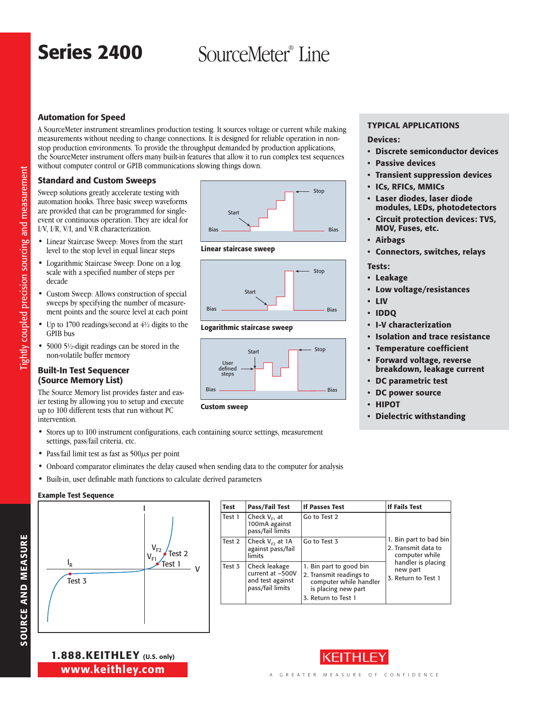# Series 2400

# SourceMeter<sup>®</sup> Line

# Automation for Speed

A SourceMeter instrument streamlines production testing. It sources voltage or current while making measurements without needing to change connections. It is designed for reliable operation in nonstop production environments. To provide the throughput demanded by production applications, the SourceMeter instrument offers many built-in features that allow it to run complex test sequences without computer control or GPIB communications slowing things down.

### Standard and Custom Sweeps

Sweep solutions greatly accelerate testing with automation hooks. Three basic sweep waveforms are provided that can be programmed for singleevent or continuous operation. They are ideal for I/V, I/R, V/I, and V/R characterization.

- • Linear Staircase Sweep: Moves from the start level to the stop level in equal linear steps
- Logarithmic Staircase Sweep: Done on a log scale with a specified number of steps per decade
- • Custom Sweep: Allows construction of special sweeps by specifying the number of measurement points and the source level at each point
- Up to 1700 readings/second at  $4\frac{1}{2}$  digits to the GPIB bus
- 5000 5½-digit readings can be stored in the non-volatile buffer memory

### Built-In Test Sequencer (Source Memory List)

The Source Memory list provides faster and easier testing by allowing you to setup and execute up to 100 different tests that run without PC intervention.

- • Stores up to 100 instrument configurations, each containing source settings, measurement settings, pass/fail criteria, etc.
- Pass/fail limit test as fast as  $500\mu s$  per point
- • Onboard comparator eliminates the delay caused when sending data to the computer for analysis
- • Built-in, user definable math functions to calculate derived parameters

### Example Test Sequence







Linear staircase sweep



Logarithmic staircase sweep



Devices:

Typical Applications

- • Discrete semiconductor devices
- • Passive devices
- • Transient suppression devices
- • ICs, RFICs, MMICs
- • Laser diodes, laser diode modules, LEDs, photodetectors
- **Circuit protection devices: TVS,** MOV, Fuses, etc.
- **Airbags**
- • Connectors, switches, relays
- Tests:
- • Leakage
- • Low voltage/resistances
- • LIV
- • IDDQ
- • I-V characterization
- • Isolation and trace resistance
- • Temperature coefficient
- • Forward voltage, reverse breakdown, leakage current
- • DC parametric test
- 
- 
- 

Test Pass/Fail Test | If Passes Test | If Fails Test Test 1  $\int$  Check V<sub>F1</sub> at 100mA against pass/fail limits Go to Test 2 1. Bin part to bad bin 2. Transmit data to computer while handler is placing new part 3. Return to Test 1 Test 2  $\int$  Check V<sub>F2</sub> at 1A against pass/fail limits Go to Test 3 Test 3 Check leakage current at –500V and test against pass/fail limits 1. Bin part to good bin 2. Transmit readings to computer while handler is placing new part 3. Return to Test 1



# DC power source

- • HIPOT
- • Dielectric withstanding

A GREATER MEASURE OF CONFIDENCE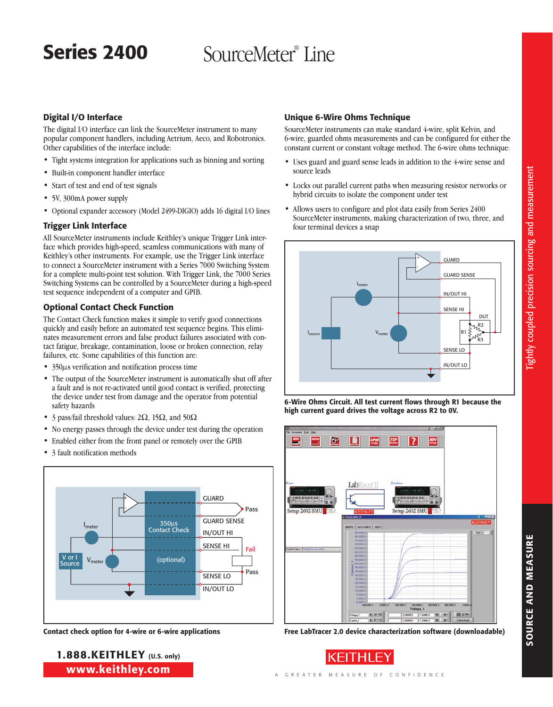# SourceMeter® Line

# Series 2400

# Digital I/O Interface

The digital I/O interface can link the SourceMeter instrument to many popular component handlers, including Aetrium, Aeco, and Robotronics. Other capabilities of the interface include:

- Tight systems integration for applications such as binning and sorting
- • Built-in component handler interface
- • Start of test and end of test signals
- • 5V, 300mA power supply
- • Optional expander accessory (Model 2499-DIGIO) adds 16 digital I/O lines

# Trigger Link Interface

All SourceMeter instruments include Keithley's unique Trigger Link interface which provides high-speed, seamless communications with many of Keithley's other instruments. For example, use the Trigger Link interface to connect a SourceMeter instrument with a Series 7000 Switching System for a complete multi-point test solution. With Trigger Link, the 7000 Series Switching Systems can be controlled by a SourceMeter during a high-speed test sequence independent of a computer and GPIB.

# Optional Contact Check Function

The Contact Check function makes it simple to verify good connections quickly and easily before an automated test sequence begins. This eliminates measurement errors and false product failures associated with contact fatigue, breakage, contamination, loose or broken connection, relay failures, etc. Some capabilities of this function are:

- 350 $\mu$ s verification and notification process time
- The output of the SourceMeter instrument is automatically shut off after a fault and is not re-activated until good contact is verified, protecting the device under test from damage and the operator from potential safety hazards
- 3 pass/fail threshold values:  $2\Omega$ ,  $15\Omega$ , and  $50\Omega$
- No energy passes through the device under test during the operation
- Enabled either from the front panel or remotely over the GPIB
- 3 fault notification methods



1.888.KEITHLEY (U.S. only) www.keithley.com

# Unique 6-Wire Ohms Technique

SourceMeter instruments can make standard 4-wire, split Kelvin, and 6-wire, guarded ohms measurements and can be configured for either the constant current or constant voltage method. The 6-wire ohms technique:

- • Uses guard and guard sense leads in addition to the 4-wire sense and source leads
- • Locks out parallel current paths when measuring resistor networks or hybrid circuits to isolate the component under test
- Allows users to configure and plot data easily from Series 2400 SourceMeter instruments, making characterization of two, three, and four terminal devices a snap









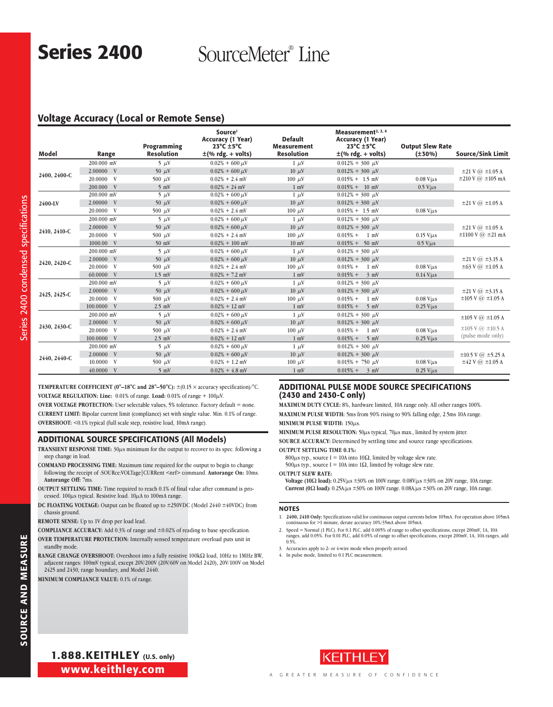# Series 2400

SourceMeter® Line

## Voltage Accuracy (Local or Remote Sense)

| Model        | Range             | Programming<br><b>Resolution</b> | Source <sup>1</sup><br><b>Accuracy (1 Year)</b><br>$23^{\circ}$ C $\pm$ 5 $^{\circ}$ C<br>$\pm$ (% rdg. + volts) | <b>Default</b><br><b>Measurement</b><br><b>Resolution</b> | Measurement <sup>2, 3, 4</sup><br><b>Accuracy (1 Year)</b><br>$23^{\circ}$ C $\pm$ 5°C<br>$\pm$ (% rdg. + volts) | <b>Output Slew Rate</b><br>$(\pm 30\%)$ | <b>Source/Sink Limit</b>           |
|--------------|-------------------|----------------------------------|------------------------------------------------------------------------------------------------------------------|-----------------------------------------------------------|------------------------------------------------------------------------------------------------------------------|-----------------------------------------|------------------------------------|
|              | 200.000 mV        | $5 \mu V$                        | $0.02\% + 600 \,\mu\text{V}$                                                                                     | $1 \mu V$                                                 | $0.012\% + 300 \mu V$                                                                                            |                                         |                                    |
|              | 2.00000 V         | 50 $\mu$ V                       | $0.02\% + 600 \,\mu\text{V}$                                                                                     | $10 \mu V$                                                | $0.012\% + 300 \mu V$                                                                                            |                                         | $\pm 21$ V $\omega$ $\pm 1.05$ A   |
| 2400, 2400-C | 20.0000 V         | 500 $\mu$ V                      | $0.02\% + 2.4$ mV                                                                                                | $100 \mu$ V                                               | $0.015\% + 1.5$ mV                                                                                               | $0.08$ V/ $\mu$ s                       | $\pm 210$ V $\omega$ $\pm 105$ mA  |
|              | 200,000 V         | $5 \text{ mV}$                   | $0.02\% + 24$ mV                                                                                                 | $1 \text{ mV}$                                            | $0.015\% + 10$ mV                                                                                                | $0.5$ V/ $\mu$ s                        |                                    |
|              | $200.000$ mV      | $5 \mu V$                        | $0.02\% + 600 \,\mu\text{V}$                                                                                     | $1 \mu V$                                                 | $0.012\% + 300 \mu V$                                                                                            |                                         |                                    |
| 2400-LV      | 2.00000 V         | 50 $\mu$ V                       | $0.02\% + 600 \,\mu\text{V}$                                                                                     | $10 \mu V$                                                | $0.012\% + 300 \mu V$                                                                                            |                                         | $\pm 21$ V $\omega$ $\pm 1.05$ A   |
|              | 20.0000 V         | 500 $\mu$ V                      | $0.02\% + 2.4$ mV                                                                                                | $100 \mu V$                                               | $0.015\% + 1.5$ mV                                                                                               | $0.08$ V/ $\mu$ s                       |                                    |
|              | 200,000 mV        | $5 \mu V$                        | $0.02\% + 600 \,\mu\text{V}$                                                                                     | $1 \mu V$                                                 | $0.012\% + 300 \mu V$                                                                                            |                                         |                                    |
|              | 2.00000 V         | 50 $\mu$ V                       | $0.02\% + 600 \,\mu\text{V}$                                                                                     | $10 \mu V$                                                | $0.012\% + 300 \mu V$                                                                                            |                                         | $\pm 21$ V $\omega$ $\pm 1.05$ A   |
| 2410, 2410-C | 20.0000 V         | 500 $\mu$ V                      | $0.02\% + 2.4$ mV                                                                                                | $100 \mu V$                                               | $0.015\% + 1$ mV                                                                                                 | $0.15$ V/ $\mu$ s                       | $\pm 1100$ V $\omega$ $\pm 21$ mA  |
|              | 1000.00 V         | $50$ mV                          | $0.02\% + 100$ mV                                                                                                | $10 \text{ mV}$                                           | $0.015\% + 50$ mV                                                                                                | $0.5$ V/ $\mu$ s                        |                                    |
|              | $200.000$ mV      | $5 \mu V$                        | $0.02\% + 600 \,\mu\text{V}$                                                                                     | $1 \mu V$                                                 | $0.012\% + 300 \mu V$                                                                                            |                                         |                                    |
|              | 2.00000 V         | 50 $\mu$ V                       | $0.02\% + 600 \,\mu\text{V}$                                                                                     | $10 \mu V$                                                | $0.012\% + 300 \mu V$                                                                                            |                                         | $\pm 21$ V $\omega$ $\pm 3.15$ A   |
| 2420, 2420-C | 20.0000 V         | 500 $\mu$ V                      | $0.02\% + 2.4$ mV                                                                                                | $100 \mu$ V                                               | $0.015% +$<br>$1 \text{ mV}$                                                                                     | $0.08$ V/ $\mu$ s                       | $\pm 63$ V $\omega$ $\pm 1.05$ A   |
|              | 60.0000 V         | $1.5$ mV                         | $0.02\% + 7.2$ mV                                                                                                | $1 \text{ mV}$                                            | $0.015% +$<br>$\frac{3}{2}$ mV                                                                                   | $0.14$ V/ $\mu$ s                       |                                    |
|              | 200.000 mV        | $5 \mu V$                        | $0.02\% + 600 \,\mu\text{V}$                                                                                     | $1 \mu V$                                                 | $0.012\% + 300 \mu$ V                                                                                            |                                         |                                    |
| 2425, 2425-C | 2.00000 V         | $50 \mu V$                       | $0.02\% + 600 \,\mu\text{V}$                                                                                     | $10 \mu V$                                                | $0.012\% + 300 \mu V$                                                                                            |                                         | $\pm 21$ V $\omega$ $\pm 3.15$ A   |
|              | 20.0000 V         | 500 $\mu$ V                      | $0.02\% + 2.4$ mV                                                                                                | $100 \mu$ V                                               | $0.015% +$<br>$1 \text{ mV}$                                                                                     | $0.08$ V/ $\mu$ s                       | $\pm 105$ V $\omega$ $\pm 1.05$ A  |
|              | 100,0000 V        | $2.5$ mV                         | $0.02\% + 12$ mV                                                                                                 | $1 \text{ mV}$                                            | $0.015% + 5$ mV                                                                                                  | $0.25$ V/ $\mu$ s                       |                                    |
|              | 200.000 mV        | $5 \mu V$                        | $0.02\% + 600 \,\mu\text{V}$                                                                                     | $1 \mu V$                                                 | $0.012\% + 300 \mu$ V                                                                                            |                                         | $\pm 105$ V $\omega$ $\pm 1.05$ A  |
| 2430, 2430-C | 2.00000 V         | 50 $\mu$ V                       | $0.02\% + 600 \,\mu\text{V}$                                                                                     | $10 \mu V$                                                | $0.012\% + 300 \mu V$                                                                                            |                                         |                                    |
|              | 20.0000 V         | 500 $\mu$ V                      | $0.02\% + 2.4$ mV                                                                                                | $100 \mu V$                                               | $0.015% + 1$ mV                                                                                                  | $0.08$ V/ $\mu$ s                       | $\pm 105$ V $\omega$ $\pm 10.5$ A  |
|              | 100.0000 V        | $2.5$ mV                         | $0.02\% + 12$ mV                                                                                                 | $1 \text{ mV}$                                            | $0.015% + 5$ mV                                                                                                  | $0.25$ V/ $\mu$ s                       | (pulse mode only)                  |
|              | 200.000 mV        | $5 \mu V$                        | $0.02\% + 600 \,\mu\text{V}$                                                                                     | $1 \mu V$                                                 | $0.012\% + 300 \mu V$                                                                                            |                                         |                                    |
| 2440, 2440-C | 2.00000 V         | 50 $\mu$ V                       | $0.02\% + 600 \,\mu\text{V}$                                                                                     | $10 \mu V$                                                | $0.012\% + 300 \mu V$                                                                                            |                                         | $\pm 10.5$ V $\omega$ $\pm 5.25$ A |
|              | 10.0000 V         | 500 $\mu$ V                      | $0.02\% + 1.2$ mV                                                                                                | $100 \mu V$                                               | $0.015\% + 750 \mu V$                                                                                            | $0.08$ V/ $\mu$ s                       | $\pm 42$ V $\omega$ $\pm 1.05$ A   |
|              | $40.0000 \quad V$ | $5 \text{ mV}$                   | $0.02\% + 4.8$ mV                                                                                                | $1 \text{ mV}$                                            | $0.015% + 3 mV$                                                                                                  | $0.25$ V/ $\mu$ s                       |                                    |

**TEMPERATURE COEFFICIENT (0°–18°C and 28°–50°C):**  $\pm$ (0.15  $\times$  accuracy specification)/°C. **VOLTAGE REGULATION: Line:**  $0.01\%$  of range. Load:  $0.01\%$  of range +  $100\mu$ V. **OVER VOLTAGE PROTECTION:** User selectable values, 5% tolerance. Factory default = none.

**Current Limit:** Bipolar current limit (compliance) set with single value. Min. 0.1% of range. **Overshoot:** <0.1% typical (full scale step, resistive load, 10mA range).

#### ADDITIONAL SOURCE SPECIFICATIONS (All Models)

**TRANSIENT RESPONSE TIME:** 30µs minimum for the output to recover to its spec. following a step change in load.

- **COMMAND PROCESSING TIME:** Maximum time required for the output to begin to change following the receipt of :SOURce:VOLTage|CURRent <nrf> command. **Autorange On:** 10ms. **Autorange Off:** 7ms.
- **OUTPUT SETTLING TIME:** Time required to reach 0.1% of final value after command is processed. 100µs typical. Resistive load. 10µA to 100mA range.
- **DC FLOATING VOLTAGE:** Output can be floated up to ±250VDC (Model 2440 ±40VDC) from chassis ground.

**REMOTE SENSE:** Up to 1V drop per load lead.

**COMPLIANCE ACCURACY:** Add 0.3% of range and ±0.02% of reading to base specification.

**OVER TEMPERATURE PROTECTION:** Internally sensed temperature overload puts unit in standby mode.

**RANGE CHANGE OVERSHOOT:** Overshoot into a fully resistive  $100k\Omega$  load,  $10Hz$  to 1MHz BW, adjacent ranges: 100mV typical, except 20V/200V (20V/60V on Model 2420), 20V/100V on Model 2425 and 2430, range boundary, and Model 2440.

**MINIMUM COMPLIANCE VALUE:** 0.1% of range.

## Additional Pulse Mode Source Specifications (2430 and 2430-C only)

**Maximum Duty Cycle:** 8%, hardware limited, 10A range only. All other ranges 100%. **Maximum Pulse Width:** 5ms from 90% rising to 90% falling edge, 2.5ms 10A range.

**Minimum Pulse Width:** 150µs. **Minimum Pulse Resolution:** 50µs typical, 70µs max., limited by system jitter.

**Source Accuracy:** Determined by settling time and source range specifications. **Output Settling Time 0.1%:**

800 $\mu$ s typ., source I = 10A into 10 $\Omega$ , limited by voltage slew rate.

 $500\mu s$  typ., source I = 10A into 1 $\Omega$ , limited by voltage slew rate.

**Output Slew Rate:**

**Voltage (10** $\Omega$  **load):** 0.25V/ $\mu$ s  $\pm$ 30% on 100V range. 0.08V/ $\mu$ s  $\pm$ 30% on 20V range, 10A range. **Current (0** $\Omega$  **load):** 0.25A/ $\mu$ s  $\pm$ 30% on 100V range. 0.08A/ $\mu$ s  $\pm$ 30% on 20V range, 10A range.

#### NOTES

1. **2400, 2410 Only:** Specifications valid for continuous output currents below 105mA. For operation above 105mA continuous for >1 minute, derate accuracy 10%/35mA above 105mA.

2. Speed = Normal (1 PLC). For 0.1 PLC, add 0.005% of range to offset specifications, except 200mV, 1A, 10A ranges, add 0.05%. For 0.01 PLC, add 0.05% of range to offset specifications, except 200mV, 1A, 10A ranges, add 0.5%.

3. Accuracies apply to 2- or 4-wire mode when properly zeroed.

4. In pulse mode, limited to 0.1 PLC measurement

Series 2400 condensed specifications

100 condensed speci

Series 2400 condensed specifications

www.keithley.com 1.888.KEITHLEY (U.S. only)

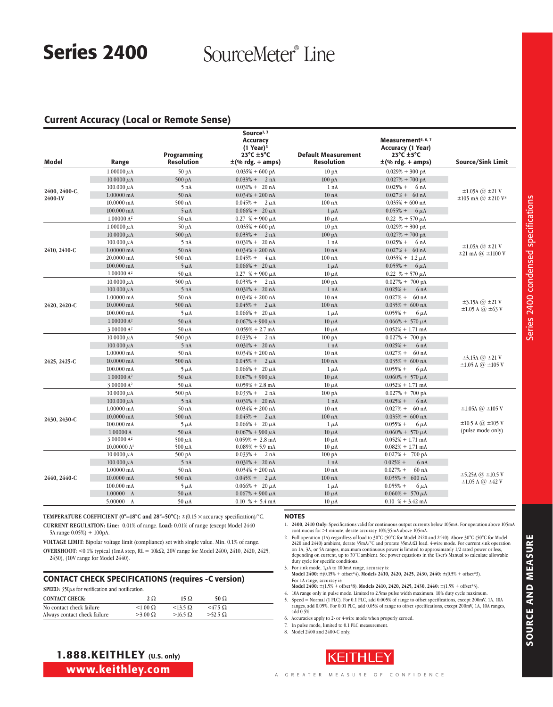# Series 2400 SourceMeter® Line

## Current Accuracy (Local or Remote Sense)

| Model         | Range                                | Programming<br><b>Resolution</b> | Source <sup>1, 3</sup><br>Accuracy<br>$(1$ Year) <sup>3</sup><br>23°C ±5°C<br>±(% rdg. + amps) | <b>Default Measurement</b><br><b>Resolution</b> | Measurement <sup>5, 6, 7</sup><br>Accuracy (1 Year)<br>$23^{\circ}$ C $\pm$ 5 $^{\circ}$ C<br>$\pm$ (% rdg. + amps) | Source/Sink Limit                                      |
|---------------|--------------------------------------|----------------------------------|------------------------------------------------------------------------------------------------|-------------------------------------------------|---------------------------------------------------------------------------------------------------------------------|--------------------------------------------------------|
|               |                                      |                                  |                                                                                                |                                                 |                                                                                                                     |                                                        |
|               | $1.00000 \mu A$                      | 50 pA                            | $0.035\% + 600 \text{ pA}$                                                                     | 10 <sub>pA</sub><br>$100\ \mathrm{pA}$          | $0.029% + 300$ pA                                                                                                   |                                                        |
|               | $10.0000 \mu A$<br>$100.000 \mu A$   | 500 pA<br>5nA                    | $0.033\% + 2 nA$<br>$0.031\% + 20 \text{ nA}$                                                  | 1 nA                                            | $0.027% + 700$ pA<br>$0.025%$ +<br>6 nA                                                                             |                                                        |
| 2400, 2400-C, | 1.00000 mA                           | 50 <sub>nA</sub>                 |                                                                                                | 10 <sub>nA</sub>                                | $0.027\% + 60 \text{ nA}$                                                                                           | $\pm 1.05$ A $\omega$ $\pm 21$ V                       |
| 2400-LV       |                                      |                                  | $0.034\% + 200$ nA                                                                             |                                                 |                                                                                                                     | $\pm 105$ mA $\omega$ $\pm 210$ V <sup>8</sup>         |
|               | 10.0000 mA                           | 500 nA                           | $0.045% + 2 \mu A$                                                                             | $100$ nA                                        | $0.035\% + 600$ nA                                                                                                  |                                                        |
|               | 100.000 mA<br>1.00000 A <sup>2</sup> | $5 \mu A$<br>$50 \mu A$          | $0.066\% + 20 \,\mu A$<br>$0.27$ % + 900 $\mu$ A                                               | $1 \mu A$<br>$10 \mu A$                         | $0.055\% + 6 \mu A$<br>0.22 % + 570 $\mu$ A                                                                         |                                                        |
|               | $1.00000 \mu A$                      | 50 <sub>pA</sub>                 | $0.035\% + 600 \text{ pA}$                                                                     | 10 <sub>pA</sub>                                | $0.029\% + 300 \text{ pA}$                                                                                          |                                                        |
|               | $10.0000 \mu A$                      |                                  | $0.033\% + 2 nA$                                                                               | $100\ \mathrm{pA}$                              |                                                                                                                     |                                                        |
|               |                                      | 500 pA<br>5 nA                   | $0.031\% + 20 \text{ nA}$                                                                      | 1 nA                                            | $0.027% + 700$ pA<br>$0.025%$ +<br>6 nA                                                                             |                                                        |
| 2410, 2410-C  | $100.000 \mu A$<br>1.00000 mA        | 50 <sub>nA</sub>                 | $0.034\% + 200$ nA                                                                             | 10 <sub>nA</sub>                                | $0.027\% + 60 \text{ nA}$                                                                                           | $\pm 1.05$ A $\omega$ $\pm 21$ V                       |
|               | 20.0000 mA                           | 500 nA                           | $0.045% +$<br>$4 \mu A$                                                                        | $100$ nA                                        | $0.035\% + 1.2 \mu A$                                                                                               | $\pm 21$ mA $\omega \pm 1100$ V                        |
|               | 100.000 mA                           | $5 \mu A$                        | $0.066\% + 20 \,\mu A$                                                                         | $1 \mu A$                                       | $0.055\% + 6 \mu A$                                                                                                 |                                                        |
|               | 1.00000 A <sup>2</sup>               | 50 $\mu$ A                       |                                                                                                | $10 \mu A$                                      |                                                                                                                     |                                                        |
|               | $10.0000 \mu A$                      | 500 pA                           | $0.27$ % + 900 $\mu$ A<br>$0.033% +$<br>2 nA                                                   | $100\ \mathrm{pA}$                              | 0.22 % + 570 $\mu$ A<br>$0.027\% + 700 \text{ pA}$                                                                  |                                                        |
|               | $100.000 \mu A$                      | 5 nA                             | $0.031\% + 20 \text{ nA}$                                                                      | 1 nA                                            | $0.025% +$<br>6nA                                                                                                   |                                                        |
|               | $1.00000 \text{ mA}$                 | 50 nA                            | $0.034\% + 200$ nA                                                                             | 10 <sub>nA</sub>                                | 60 <sub>nA</sub><br>$0.027% +$                                                                                      |                                                        |
|               | 10.0000 mA                           | 500 nA                           | $0.045\% + 2 \mu A$                                                                            | $100$ nA                                        | $0.035\% + 600 \text{ nA}$                                                                                          | $\pm$ 3.15A @ $\pm$ 21 V                               |
| 2420, 2420-C  | $100.000 \text{ mA}$                 |                                  |                                                                                                |                                                 | $0.055%$ +                                                                                                          | $\pm 1.05$ A $\omega$ $\pm 63$ V                       |
|               | 1.00000 A <sup>2</sup>               | $5 \mu A$                        | $0.066\% + 20 \,\mu A$<br>$0.067\% + 900 \mu A$                                                | $1 \mu A$<br>$10 \mu A$                         | $6 \mu A$<br>$0.066\% + 570 \mu A$                                                                                  |                                                        |
|               |                                      | $50 \mu A$                       |                                                                                                |                                                 |                                                                                                                     |                                                        |
|               | 3.00000 A <sup>2</sup>               | $50 \mu A$                       | $0.059\% + 2.7$ mA                                                                             | $10 \mu A$                                      | $0.052\% + 1.71$ mA                                                                                                 |                                                        |
|               | $10.0000 \mu A$                      | 500 pA                           | $0.033% +$<br>2 nA                                                                             | 100 pA                                          | $0.027\% + 700 \text{ pA}$                                                                                          |                                                        |
|               | $100.000 \mu A$                      | 5 nA                             | $0.031\% + 20 \text{ nA}$                                                                      | 1 nA                                            | $0.025% +$<br>6nA<br>60 <sub>nA</sub>                                                                               |                                                        |
|               | $1.00000 \text{ mA}$                 | 50 nA                            | $0.034\% + 200$ nA                                                                             | $10 \text{ nA}$                                 | $0.027% +$                                                                                                          | $\pm$ 3.15A ( $\omega$ $\pm$ 21 V                      |
| 2425, 2425-C  | 10.0000 mA                           | 500 nA                           | $0.045% + 2 \mu A$                                                                             | $100$ nA                                        | $0.035\% + 600 \text{ nA}$                                                                                          | $\pm 1.05$ A $\omega$ $\pm 105$ V                      |
|               | $100.000 \text{ mA}$                 | $5 \mu A$                        | $0.066\% + 20 \mu A$                                                                           | $1 \mu A$                                       | $0.055%$ +<br>$6 \mu A$                                                                                             |                                                        |
|               | 1.00000 A <sup>2</sup>               | $50 \mu A$                       | $0.067\% + 900 \mu A$                                                                          | $10 \mu A$                                      | $0.060\% + 570 \,\mu\text{A}$                                                                                       |                                                        |
|               | 3.00000 A <sup>2</sup>               | 50 $\mu$ A                       | $0.059\% + 2.8$ mA                                                                             | $10 \mu A$                                      | $0.052\% + 1.71$ mA                                                                                                 |                                                        |
|               | $10.0000 \mu A$                      | 500 pA                           | $0.033\% +$<br>2 nA                                                                            | $100\ \mathrm{pA}$                              | $0.027% + 700$ pA                                                                                                   |                                                        |
|               | $100.000 \mu A$                      | 5 nA                             | $0.031\% + 20 \text{ nA}$                                                                      | 1 nA                                            | $0.025%$ +<br>6nA                                                                                                   |                                                        |
|               | $1.00000 \text{ mA}$                 | 50 <sub>nA</sub>                 | $0.034\% + 200$ nA                                                                             | 10 <sub>nA</sub>                                | $0.027% + 60 \text{ nA}$                                                                                            | $\pm 1.05$ A $\omega$ $\pm 105$ V                      |
| 2430, 2430-C  | $10.0000 \text{ mA}$                 | 500 nA                           | $0.045% + 2 \mu A$                                                                             | $1000$ nA                                       | $0.035\% + 600 \text{ nA}$                                                                                          |                                                        |
|               | 100.000 mA                           | $5 \mu A$                        | $0.066\% + 20 \,\mu A$                                                                         | $1 \mu A$                                       | $0.055% +$<br>$6 \mu A$                                                                                             | $\pm 10.5$ A $\omega$ $\pm 105$ V<br>(pulse mode only) |
|               | 1.00000A                             | $50 \mu A$                       | $0.067\% + 900 \mu A$                                                                          | $10 \mu A$                                      | $0.060\% + 570 \mu A$                                                                                               |                                                        |
|               | 3.00000 A <sup>2</sup>               | 500 $\mu$ A                      | $0.059\% + 2.8 \text{ mA}$                                                                     | $10 \mu A$                                      | $0.052\% + 1.71$ mA                                                                                                 |                                                        |
|               | 10.00000 A <sup>4</sup>              | $500 \mu A$                      | $0.089\% + 5.9$ mA<br>$0.033\% +$<br>2 nA                                                      | $10 \mu A$<br>$100\ \mathrm{pA}$                | $0.082\% + 1.71$ mA                                                                                                 |                                                        |
|               | $10.0000 \mu A$                      | 500 pA                           |                                                                                                |                                                 | $0.027\% + 700 \text{ pA}$                                                                                          |                                                        |
|               | $100.000 \mu A$                      | 5 nA                             | $0.031\% + 20 \text{ nA}$                                                                      | 1 nA                                            | $0.025%$ +<br>6nA                                                                                                   |                                                        |
|               | $1.00000 \text{ mA}$                 | 50 <sub>nA</sub>                 | $0.034\% + 200$ nA                                                                             | 10 <sub>nA</sub>                                | 60 nA<br>$0.027% +$                                                                                                 | $\pm$ 5.25A $\omega$ $\pm$ 10.5 V                      |
| 2440, 2440-C  | 10.0000 mA                           | 500 nA                           | $0.045\% + 2 \mu A$                                                                            | $100$ nA                                        | $0.035\% + 600 \text{ nA}$                                                                                          | $\pm 1.05$ A $\omega$ $\pm 42$ V                       |
|               | 100.000 mA                           | $5 \mu A$                        | $0.066\% + 20 \mu A$                                                                           | $1 \mu A$                                       | $0.055% +$<br>$6 \mu A$                                                                                             |                                                        |
|               | 1.00000 A                            | $50 \mu A$                       | $0.067\% + 900 \mu A$                                                                          | $10 \mu A$                                      | $0.060\% + 570 \,\mu\text{A}$                                                                                       |                                                        |
|               | 5.00000 A                            | $50 \mu A$                       | $0.10\,$ % + 5.4 mA                                                                            | $10 \mu A$                                      | $0.10\% + 3.42 \text{ mA}$                                                                                          |                                                        |

**TEMPERATURE COEFFICIENT (0°–18°C and 28°–50°C):**  $\pm$ (0.15  $\times$  accuracy specification)/°C. **CURRENT Regulation: Line:** 0.01% of range. **Load:** 0.01% of range (except Model 2440 5A range 0.05%) + 100pA.

**Voltage LIMIT:** Bipolar voltage limit (compliance) set with single value. Min. 0.1% of range. **OVERSHOOT:** <0.1% typical (1mA step,  $RL = 10k\Omega$ , 20V range for Model 2400, 2410, 2420, 2425, 2430), (10V range for Model 2440).

### Contact Check Specifications (requires -C version)

| <b>SPEED:</b> 350 $\mu$ s for verification and notification. |                 |                   |                   |  |  |  |  |  |
|--------------------------------------------------------------|-----------------|-------------------|-------------------|--|--|--|--|--|
| <b>CONTACT CHECK:</b><br>$2\Omega$<br>50 Q<br>15 Q           |                 |                   |                   |  |  |  |  |  |
| No contact check failure                                     | $< 1.00 \Omega$ | $<$ 13.5 $\Omega$ | $<$ 47.5 $\Omega$ |  |  |  |  |  |
| Always contact check failure                                 | $>3.00 \Omega$  | $>16.5 \Omega$    | $>52.5 \Omega$    |  |  |  |  |  |

#### NOTES

1. **2400, 2410 Only:** Specifications valid for continuous output currents below 105mA. For operation above 105mA continuous for >1 minute, derate accuracy 10%/35mA above 105mA.

2. Full operation (1A) regardless of load to 30°C (50°C for Model 2420 and 2440). Above 30°C (50°C for Model 2420 and 2440) ambient, derate 35mA/°C and prorate 35mA/Ω load. 4-wire mode. For current sink operation<br>on 1A, 3A, or 5A ranges, maximum continuous power is limited to approximately 1/2 rated power or less, depending on current, up to 30°C ambient. See power equations in the User's Manual to calculate allowable duty cycle for specific conditions.

3. For sink mode,  $1\mu$ A to 100mA range, accuracy is:

**Model 2400:** ±(0.15% + offset\*4). **Models 2410, 2420, 2425, 2430, 2440:** ±(0.5% + offset\*3). For 1A range, accuracy is:

- **Model 2400:** ±(1.5% + offset\*8). **Models 2410, 2420, 2425, 2430, 2440:** ±(1.5% + offset\*3). 4. 10A range only in pulse mode. Limited to 2.5ms pulse width maximum. 10% duty cycle maximum.
- 5. Speed = Normal (1 PLC). For 0.1 PLC, add 0.005% of range to offset specifications, except 200mV, 1A, 10A ranges, add 0.05%. For 0.01 PLC, add 0.05% of range to offset specifications, except 200mV, 1A, 10A ranges, add 0.5%.

6. Accuracies apply to 2- or 4-wire mode when properly zeroed.

7. In pulse mode, limited to 0.1 PLC measurement.

8. Model 2400 and 2400-C only.



# 1.888.KEITHLEY (U.S. only) www.keithley.com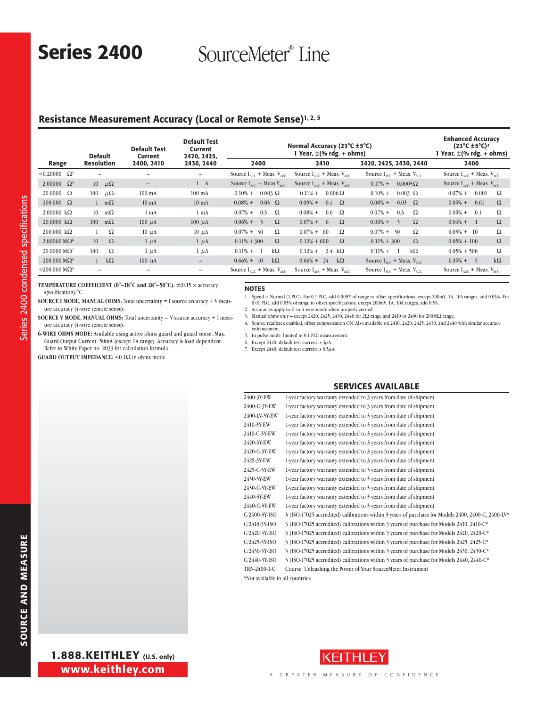Series 2400 SourceMeter® Line

# Resistance Measurement Accuracy (Local or Remote Sense)<sup>1, 2, 5</sup>

|                                        | <b>Default</b>    |             | <b>Default Test</b><br>Current | <b>Default Test</b><br>Current<br>2420, 2425, |                                                  | Normal Accuracy (23°C ±5°C)<br>1 Year, $\pm$ (% rdg. + ohms) |                                                  |                                                  |  |  |
|----------------------------------------|-------------------|-------------|--------------------------------|-----------------------------------------------|--------------------------------------------------|--------------------------------------------------------------|--------------------------------------------------|--------------------------------------------------|--|--|
| Range                                  | <b>Resolution</b> |             | 2400, 2410                     | 2430, 2440                                    | 2400                                             | 2410                                                         | 2420, 2425, 2430, 2440                           | 2400                                             |  |  |
| $< 0.20000 \quad \Omega^3$             |                   |             |                                | -                                             | Source $I_{\text{acc}}$ + Meas. $V_{\text{acc}}$ | Source $I_{\text{acc}}$ + Meas. $V_{\text{acc}}$             | Source $I_{\text{acc}}$ + Meas. $V_{\text{acc}}$ | Source $I_{acc}$ + Meas. $V_{acc}$               |  |  |
| 2.00000 $\Omega^3$                     | 10 $\mu\Omega$    |             | $\overline{\phantom{m}}$       | $1 \quad A$                                   | Source $I_{\text{acc}}$ + Meas $V_{\text{acc}}$  | Source $I_{\text{acc}}$ + Meas. $V_{\text{acc}}$             | $0.17%$ +<br>$0.0003\Omega$                      | Source $I_{\text{acc}}$ + Meas. $V_{\text{acc}}$ |  |  |
| $20.0000 \quad \Omega$                 | 100               | $\mu\Omega$ | $100 \text{ mA}$               | $100 \text{ mA}$                              | $0.10% +$<br>$0.003 \Omega$                      | $0.006\,\Omega$<br>$0.11\% +$                                | $0.10% +$<br>$0.003 \Omega$                      | $0.07\%$ +<br>0.001<br>Ω                         |  |  |
| $200.000 \Omega$                       | $1 \quad m\Omega$ |             | $10 \text{ mA}$                | $10 \text{ mA}$                               | $0.03 \Omega$<br>$0.08\% +$                      | $0.09% +$<br>$0.1 \Omega$                                    | 0.03<br>$0.08\% +$<br>$\Omega$                   | $0.05% +$<br>0.01<br>Ω                           |  |  |
| $2.00000 \text{ k}\Omega$              | 10 <sup>1</sup>   | $m\Omega$   | 1 <sub>mA</sub>                | 1 <sub>mA</sub>                               | $0.07%$ +<br>0.3<br>Ω                            | $0.08\% +$<br>$0.6\quad\Omega$                               | $0.07%$ +<br>0.3<br>Ω                            | $0.05% +$<br>Ω<br>0.1                            |  |  |
| $20.0000 \text{ k}\Omega$              | 100               | $m\Omega$   | $100 \mu A$                    | 100 $\mu$ A                                   | $0.06% +$<br>$\Omega$<br>$\frac{3}{2}$           | $\Omega$<br>$0.07\% +$<br>-6                                 | $0.06\% + 3$<br>$\Omega$                         | $0.04\% +$<br>$\Omega$<br>$\overline{1}$         |  |  |
| $200.000 \text{ k}\Omega$              |                   | Ω           | $10 \mu A$                     | $10 \mu A$                                    | $0.07\% + 30$<br>Ω                               | $0.07\% + 60$<br>Ω                                           | Ω<br>$0.07\% + 30$                               | Ω<br>$0.05\% + 10$                               |  |  |
| $2.00000 \text{ M}\Omega$ <sup>6</sup> | 10                | $\Omega$    | $1 \mu A$                      | $1 \mu A$                                     | $0.11\% + 300$<br>$\Omega$                       | $0.12\% + 600$<br>$\Omega$                                   | Ω<br>$0.11\% + 300$                              | $\Omega$<br>$0.05\% + 100$                       |  |  |
| $20.0000 \text{ M}\Omega^7$            | 100               | Ω           | $1 \mu A$                      | $1 \mu A$                                     | $0.11\% +$<br>$k\Omega$                          | 2.4 $k\Omega$<br>$0.12% +$                                   | $k\Omega$<br>$0.11% +$                           | Ω<br>$0.05\% + 500$                              |  |  |
| $200.000 \text{ M}\Omega^3$            | $\mathbf{1}$      | $k\Omega$   | $100$ nA                       | $\overline{\phantom{m}}$                      | $0.66\% + 10$<br>$k\Omega$                       | $0.66\% + 24$<br>$k\Omega$                                   | Source $I_{\text{acc}}$ + Meas. $V_{\text{acc}}$ | $k\Omega$<br>$0.35\% + 5$                        |  |  |
| $>$ 200.000 MΩ <sup>3</sup>            | $\qquad \qquad -$ |             | $\overline{\phantom{m}}$       | $\overline{\phantom{0}}$                      | Source $I_{\text{acc}}$ + Meas. $V_{\text{acc}}$ | Source $I_{AC}$ + Meas. $V_{AC}$                             | Source $I_{\text{acc}}$ + Meas. $V_{\text{acc}}$ | Source $I_{\text{acc}}$ + Meas. $V_{\text{acc}}$ |  |  |

**TEMPERATURE COEFFICIENT (0°–18°C and 28°–50°C):** ±(0.15 × accuracy specification)/°C.

- **SOURCE I MODE, MANUAL OHMS:** Total uncertainty = I source accuracy + V measure accuracy (4-wire remote sense).
- **Source V Mode, Manual Ohms:** Total uncertainty = V source accuracy + I meas-
- ure accuracy (4-wire remote sense).
- **6-wire ohms mode:** Available using active ohms guard and guard sense. Max. Guard Output Current: 50mA (except 1A range). Accuracy is load dependent. Refer to White Paper no. 2033 for calculation formula.

**GUARD OUTPUT IMPEDANCE:**  $< 0.1\Omega$  in ohms mode.

### NOTES

- 1. Speed = Normal (1 PLC). For 0.1 PLC, add 0.005% of range to offset specifications, except 200mV, 1A, 10A ranges, add 0.05%. For 0.01 PLC, add 0.05% of range to offset specifications, except 200mV, 1A, 10A ranges, add 0.5%.
- 2. Accuracies apply to 2- or 4-wire mode when properly zeroed.
- 3. Manual ohms only except 2420, 2425, 2430, 2440 for 2 $\Omega$  range and 2410 or 2400 for 200M $\Omega$  range.
- 4. Source readback enabled, offset compensation ON. Also available on 2410, 2420, 2425, 2430, and 2440 with similar accuracy enhancement.
- 5. In pulse mode, limited to 0.1 PLC measurement.
- 6. Except 2440; default test current is  $5\mu$ A.
- 7. Except 2440; default test current is 0.5 $\mu$ A.

### Services Available

| 2400-3Y-EW       | 1-year factory warranty extended to 3 years from date of shipment                                  |
|------------------|----------------------------------------------------------------------------------------------------|
| 2400-C-3Y-EW     | 1-year factory warranty extended to 3 years from date of shipment                                  |
| 2400-LV-3Y-EW    | 1-year factory warranty extended to 3 years from date of shipment                                  |
| 2410-3Y-EW       | 1-year factory warranty extended to 3 years from date of shipment                                  |
| 2410-C-3Y-EW     | 1-year factory warranty extended to 3 years from date of shipment                                  |
| 2420-3Y-EW       | 1-year factory warranty extended to 3 years from date of shipment                                  |
| 2420-C-3Y-EW     | 1-year factory warranty extended to 3 years from date of shipment                                  |
| 2425-3Y-EW       | 1-year factory warranty extended to 3 years from date of shipment                                  |
| 2425-C-3Y-EW     | 1-year factory warranty extended to 3 years from date of shipment                                  |
| 2430-3Y-EW       | 1-year factory warranty extended to 3 years from date of shipment                                  |
| 2430-C-3Y-EW     | 1-year factory warranty extended to 3 years from date of shipment                                  |
| 2440-3Y-EW       | 1-year factory warranty extended to 3 years from date of shipment                                  |
| 2440-C-3Y-EW     | 1-year factory warranty extended to 3 years from date of shipment                                  |
| $C/2400-3Y-ISO$  | 3 (ISO-17025 accredited) calibrations within 3 years of purchase for Models 2400, 2400-C, 2400-LV* |
| $C/2410-3Y-ISO$  | 3 (ISO-17025 accredited) calibrations within 3 years of purchase for Models 2410, 2410-C*          |
| $C/2420-3Y-ISO$  | 3 (ISO-17025 accredited) calibrations within 3 years of purchase for Models 2420, 2420-C*          |
| $C/2425-3Y-ISO$  | 3 (ISO-17025 accredited) calibrations within 3 years of purchase for Models 2425, 2425-C*          |
| $C/2430-3Y$ -ISO | 3 (ISO-17025 accredited) calibrations within 3 years of purchase for Models 2430, 2430-C*          |
| $C/2440-3Y-ISO$  | 3 (ISO-17025 accredited) calibrations within 3 years of purchase for Models 2440, 2440-C*          |
| TRN-2400-1-C     | Course: Unleashing the Power of Your SourceMeter Instrument                                        |
|                  |                                                                                                    |

\*Not available in all countries

Series 2400 condensed specifications

Series 2400 condensed specifications

www.keithley.com 1.888.KEITHLEY (U.S. only)